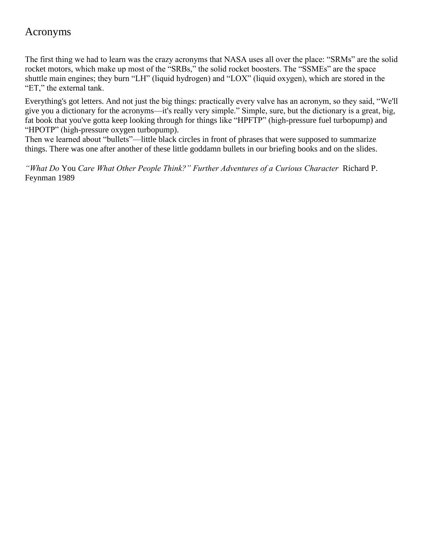## Acronyms

The first thing we had to learn was the crazy acronyms that NASA uses all over the place: "SRMs" are the solid rocket motors, which make up most of the "SRBs," the solid rocket boosters. The "SSMEs" are the space shuttle main engines; they burn "LH" (liquid hydrogen) and "LOX" (liquid oxygen), which are stored in the "ET," the external tank.

Everything's got letters. And not just the big things: practically every valve has an acronym, so they said, "We'll give you a dictionary for the acronyms—it's really very simple." Simple, sure, but the dictionary is a great, big, fat book that you've gotta keep looking through for things like "HPFTP" (high-pressure fuel turbopump) and "HPOTP" (high-pressure oxygen turbopump).

Then we learned about "bullets"—little black circles in front of phrases that were supposed to summarize things. There was one after another of these little goddamn bullets in our briefing books and on the slides.

*"What Do* You *Care What Other People Think?" Further Adventures of a Curious Character* Richard P. Feynman 1989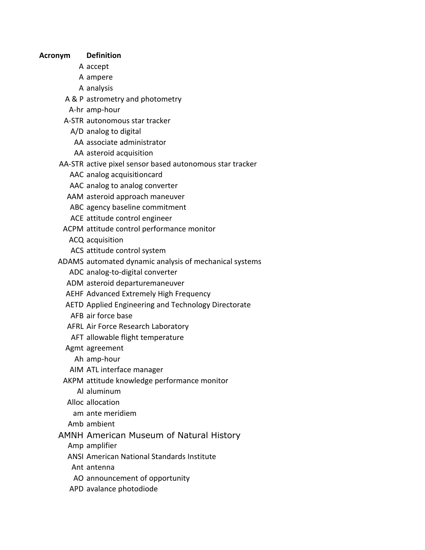**Acronym Definition**

- A accept
- A ampere
- A analysis
- A & P astrometry and photometry
- A-hr amp-hour
- A-STR autonomous star tracker
	- A/D analog to digital
	- AA associate administrator
	- AA asteroid acquisition
- AA-STR active pixel sensor based autonomous star tracker
	- AAC analog acquisition card
	- AAC analog to analog converter
	- AAM asteroid approach maneuver
	- ABC agency baseline commitment
	- ACE attitude control engineer
- ACPM attitude control performance monitor
	- ACQ acquisition
	- ACS attitude control system
- ADAMS automated dynamic analysis of mechanical systems
	- ADC analog-to-digital converter
	- ADM asteroid departure maneuver
	- AEHF Advanced Extremely High Frequency
	- AETD Applied Engineering and Technology Directorate
	- AFB air force base
	- AFRL Air Force Research Laboratory
	- AFT allowable flight temperature
	- Agmt agreement
		- Ah amp-hour
	- AIM ATL interface manager
	- AKPM attitude knowledge performance monitor
		- Al aluminum
	- Alloc allocation
	- am ante meridiem
	- Amb ambient
- AMNH American Museum of Natural History
	- Amp amplifier
	- ANSI American National Standards Institute
	- Ant antenna
	- AO announcement of opportunity
	- APD avalance photodiode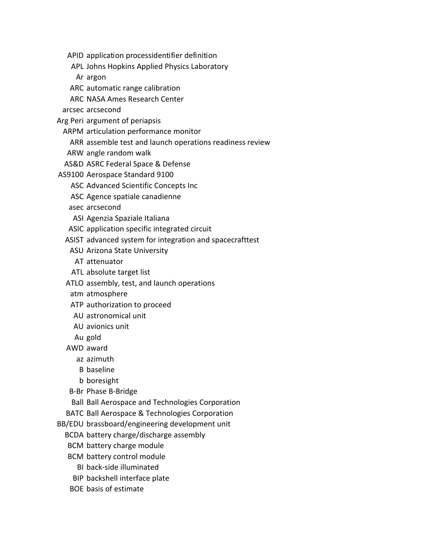- APID application processidentifier definition
- APL Johns Hopkins Applied Physics Laboratory
- Ar argon
- ARC automatic range calibration
- ARC NASA Ames Research Center
- arcsec arcsecond
- Arg Peri argument of periapsis
	- ARPM articulation performance monitor
		- ARR assemble test and launch operations readiness review
	- ARW angle random walk
	- AS&D ASRC Federal Space & Defense
- AS9100 Aerospace Standard 9100
	- ASC Advanced Scientific Concepts Inc
	- ASC Agence spatiale canadienne
	- asec arcsecond
	- ASI Agenzia Spaziale Italiana
	- ASIC application specific integrated circuit
	- ASIST advanced system for integration and spacecrafttest
		- ASU Arizona State University
			- AT attenuator
		- ATL absolute target list
	- ATLO assembly, test, and launch operations
	- atm atmosphere
	- ATP authorization to proceed
	- AU astronomical unit
	- AU avionics unit
	- Au gold
	- AWD award
		- az azimuth
		- B baseline
		- b boresight
	- B-Br Phase B-Bridge
	- Ball Ball Aerospace and Technologies Corporation
	- BATC Ball Aerospace & Technologies Corporation
- BB/EDU brassboard/engineering development unit
	- BCDA battery charge/discharge assembly
	- BCM battery charge module
	- BCM battery control module
		- BI back-side illuminated
	- BIP backshell interface plate
	- BOE basis of estimate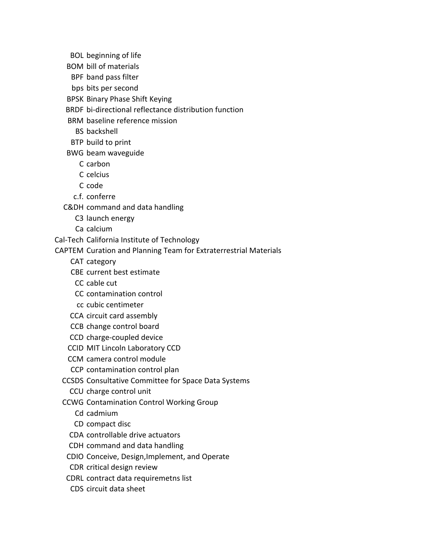- BOL beginning of life
- BOM bill of materials
- BPF band pass filter
- bps bits per second
- BPSK Binary Phase Shift Keying
- BRDF bi-directional reflectance distribution function
- BRM baseline reference mission
	- BS backshell
- BTP build to print
- BWG beam waveguide
	- C carbon
	- C celcius
	- C code
	- c.f. conferre
- C&DH command and data handling
	- C3 launch energy
	- Ca calcium
- Cal-Tech California Institute of Technology
- CAPTEM Curation and Planning Team for Extraterrestrial Materials
	- CAT category
	- CBE current best estimate
	- CC cable cut
	- CC contamination control
	- cc cubic centimeter
	- CCA circuit card assembly
	- CCB change control board
	- CCD charge-coupled device
	- CCID MIT Lincoln Laboratory CCD
	- CCM camera control module
	- CCP contamination control plan
	- CCSDS Consultative Committee for Space Data Systems
		- CCU charge control unit
	- CCWG Contamination Control Working Group
		- Cd cadmium
		- CD compact disc
		- CDA controllable drive actuators
		- CDH command and data handling
	- CDIO Conceive, Design, Implement, and Operate
	- CDR critical design review
	- CDRL contract data requiremetns list
	- CDS circuit data sheet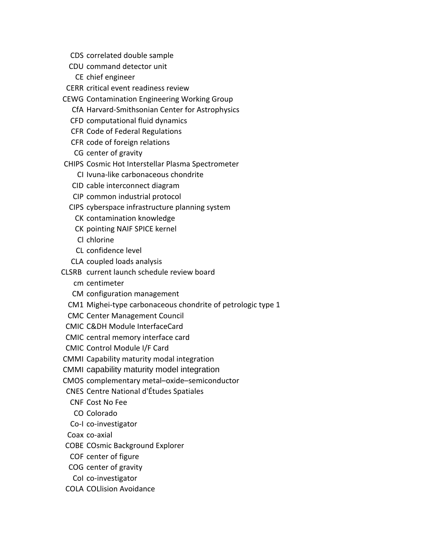- CDS correlated double sample
- CDU command detector unit
	- CE chief engineer
- CERR critical event readiness review
- CEWG Contamination Engineering Working Group
	- CfA Harvard-Smithsonian Center for Astrophysics
	- CFD computational fluid dynamics
	- CFR Code of Federal Regulations
	- CFR code of foreign relations
	- CG center of gravity
- CHIPS Cosmic Hot Interstellar Plasma Spectrometer
	- CI Ivuna-like carbonaceous chondrite
	- CID cable interconnect diagram
	- CIP common industrial protocol
	- CIPS cyberspace infrastructure planning system
		- CK contamination knowledge
		- CK pointing NAIF SPICE kernel
		- Cl chlorine
		- CL confidence level
	- CLA coupled loads analysis
- CLSRB current launch schedule review board
	- cm centimeter
	- CM configuration management
	- CM1 Mighei-type carbonaceous chondrite of petrologic type 1
	- CMC Center Management Council
- CMIC C&DH Module Interface Card
- CMIC central memory interface card
- CMIC Control Module I/F Card
- CMMI Capability maturity modal integration
- CMMI capability maturity model integration
- CMOS complementary metal–oxide–semiconductor
- CNES Centre National d'Études Spatiales
	- CNF Cost No Fee
	- CO Colorado
- Co-I co-investigator
- Coax co-axial
- COBE COsmic Background Explorer
- COF center of figure
- COG center of gravity
- CoI co-investigator
- COLA COLlision Avoidance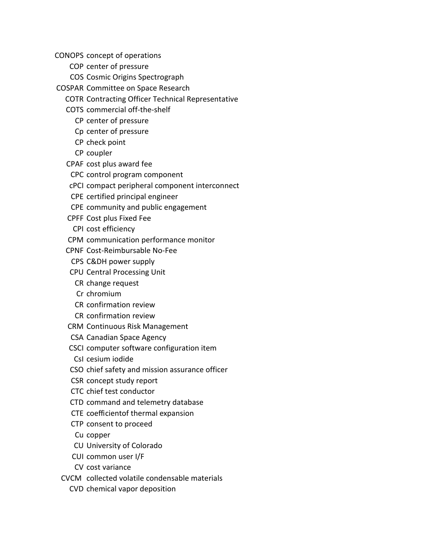CONOPS concept of operations

- COP center of pressure
- COS Cosmic Origins Spectrograph
- COSPAR Committee on Space Research
	- COTR Contracting Officer Technical Representative
	- COTS commercial off-the-shelf
		- CP center of pressure
		- Cp center of pressure
		- CP check point
		- CP coupler
	- CPAF cost plus award fee
	- CPC control program component
	- cPCI compact peripheral component interconnect
	- CPE certified principal engineer
	- CPE community and public engagement
	- CPFF Cost plus Fixed Fee
		- CPI cost efficiency
	- CPM communication performance monitor
	- CPNF Cost-Reimbursable No-Fee
		- CPS C&DH power supply
	- CPU Central Processing Unit
		- CR change request
		- Cr chromium
		- CR confirmation review
		- CR confirmation review
	- CRM Continuous Risk Management
	- CSA Canadian Space Agency
	- CSCI computer software configuration item
		- CsI cesium iodide
	- CSO chief safety and mission assurance officer
	- CSR concept study report
	- CTC chief test conductor
	- CTD command and telemetry database
	- CTE coefficient of thermal expansion
	- CTP consent to proceed
	- Cu copper
	- CU University of Colorado
	- CUI common user I/F
	- CV cost variance
	- CVCM collected volatile condensable materials
		- CVD chemical vapor deposition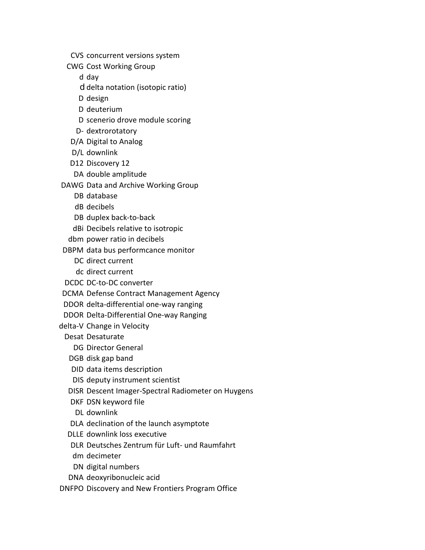- CVS concurrent versions system
- CWG Cost Working Group
	- d day
	- d delta notation (isotopic ratio)
	- D design
	- D deuterium
	- D scenerio drove module scoring
	- D- dextrorotatory
- D/A Digital to Analog
- D/L downlink
- D12 Discovery 12
- DA double amplitude
- DAWG Data and Archive Working Group
	- DB database
	- dB decibels
	- DB duplex back-to-back
	- dBi Decibels relative to isotropic
	- dbm power ratio in decibels
- DBPM data bus performcance monitor
	- DC direct current
	- dc direct current
- DCDC DC-to-DC converter
- DCMA Defense Contract Management Agency
- DDOR delta-differential one-way ranging
- DDOR Delta-Differential One-way Ranging
- delta-V Change in Velocity
	- Desat Desaturate
		- DG Director General
		- DGB disk gap band
		- DID data items description
		- DIS deputy instrument scientist
	- DISR Descent Imager-Spectral Radiometer on Huygens
	- DKF DSN keyword file
	- DL downlink
	- DLA declination of the launch asymptote
	- DLLE downlink loss executive
	- DLR Deutsches Zentrum für Luft- und Raumfahrt
	- dm decimeter
	- DN digital numbers
	- DNA deoxyribonucleic acid
- DNFPO Discovery and New Frontiers Program Office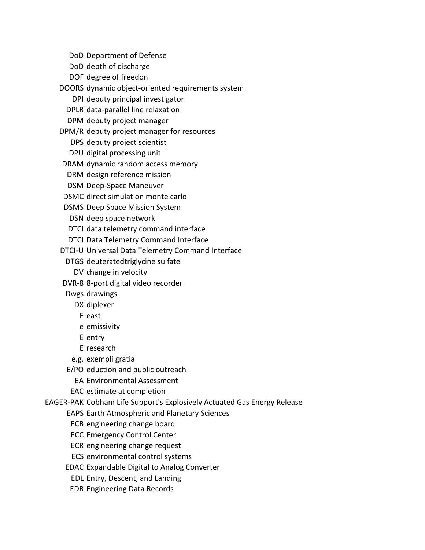- DoD Department of Defense
- DoD depth of discharge
- DOF degree of freedon

DOORS dynamic object-oriented requirements system

- DPI deputy principal investigator
- DPLR data-parallel line relaxation
- DPM deputy project manager
- DPM/R deputy project manager for resources
	- DPS deputy project scientist
	- DPU digital processing unit
- DRAM dynamic random access memory
- DRM design reference mission
- DSM Deep-Space Maneuver
- DSMC direct simulation monte carlo
- DSMS Deep Space Mission System
	- DSN deep space network
- DTCI data telemetry command interface
- DTCI Data Telemetry Command Interface
- DTCI-U Universal Data Telemetry Command Interface
	- DTGS deuterated triglycine sulfate
		- DV change in velocity
- DVR-8 8-port digital video recorder
- Dwgs drawings
	- DX diplexer
		- E east
		- e emissivity
		- E entry
		- E research
	- e.g. exempli gratia
- E/PO eduction and public outreach
	- EA Environmental Assessment
- EAC estimate at completion
- EAGER-PAK Cobham Life Support's Explosively Actuated Gas Energy Release
	- EAPS Earth Atmospheric and Planetary Sciences
		- ECB engineering change board
		- ECC Emergency Control Center
		- ECR engineering change request
		- ECS environmental control systems
	- EDAC Expandable Digital to Analog Converter
		- EDL Entry, Descent, and Landing
		- EDR Engineering Data Records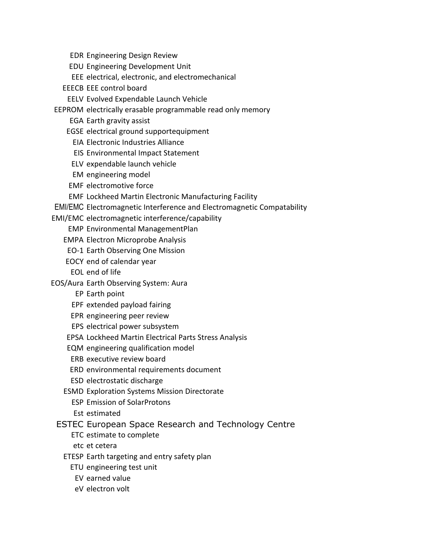EDR Engineering Design Review

EDU Engineering Development Unit

EEE electrical, electronic, and electromechanical

EEECB EEE control board

EELV Evolved Expendable Launch Vehicle

EEPROM electrically erasable programmable read only memory

EGA Earth gravity assist

EGSE electrical ground supportequipment

EIA Electronic Industries Alliance

EIS Environmental Impact Statement

ELV expendable launch vehicle

EM engineering model

EMF electromotive force

EMF Lockheed Martin Electronic Manufacturing Facility

EMI/EMC Electromagnetic Interference and Electromagnetic Compatability

EMI/EMC electromagnetic interference/capability

EMP Environmental Management Plan

EMPA Electron Microprobe Analysis

EO-1 Earth Observing One Mission

EOCY end of calendar year

EOL end of life

EOS/Aura Earth Observing System: Aura

EP Earth point

EPF extended payload fairing

EPR engineering peer review

EPS electrical power subsystem

EPSA Lockheed Martin Electrical Parts Stress Analysis

EQM engineering qualification model

ERB executive review board

ERD environmental requirements document

ESD electrostatic discharge

ESMD Exploration Systems Mission Directorate

ESP Emission of Solar Protons

Est estimated

ESTEC European Space Research and Technology Centre

ETC estimate to complete

etc et cetera

ETESP Earth targeting and entry safety plan

ETU engineering test unit

EV earned value

eV electron volt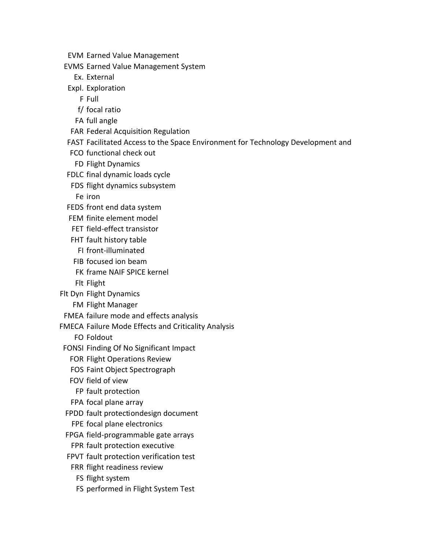- EVM Earned Value Management
- EVMS Earned Value Management System
	- Ex. External
- Expl. Exploration
	- F Full
	- f/ focal ratio
	- FA full angle
- FAR Federal Acquisition Regulation
- FAST Facilitated Access to the Space Environment for Technology Development and
- FCO functional check out
- FD Flight Dynamics
- FDLC final dynamic loads cycle
- FDS flight dynamics subsystem
	- Fe iron
- FEDS front end data system
- FEM finite element model
- FET field-effect transistor
- FHT fault history table
- FI front-illuminated
- FIB focused ion beam
- FK frame NAIF SPICE kernel
- Flt Flight
- Flt Dyn Flight Dynamics
	- FM Flight Manager
- FMEA failure mode and effects analysis
- FMECA Failure Mode Effects and Criticality Analysis
	- FO Foldout
- FONSI Finding Of No Significant Impact
	- FOR Flight Operations Review
	- FOS Faint Object Spectrograph
	- FOV field of view
	- FP fault protection
	- FPA focal plane array
- FPDD fault protection design document
- FPE focal plane electronics
- FPGA field-programmable gate arrays
- FPR fault protection executive
- FPVT fault protection verification test
- FRR flight readiness review
	- FS flight system
	- FS performed in Flight System Test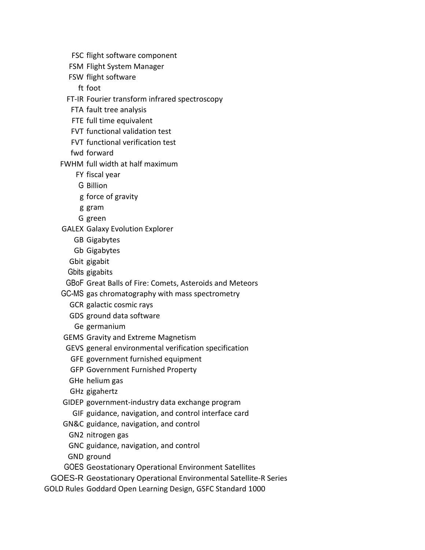- FSC flight software component
- FSM Flight System Manager
- FSW flight software
	- ft foot
- FT-IR Fourier transform infrared spectroscopy
	- FTA fault tree analysis
	- FTE full time equivalent
	- FVT functional validation test
	- FVT functional verification test
- fwd forward
- FWHM full width at half maximum
	- FY fiscal year
	- G Billion
	- g force of gravity
	- g gram
	- G green
- GALEX Galaxy Evolution Explorer
	- GB Gigabytes
	- Gb Gigabytes
	- Gbit gigabit
	- Gbits gigabits
- GBoF Great Balls of Fire: Comets, Asteroids and Meteors
- GC-MS gas chromatography with mass spectrometry
	- GCR galactic cosmic rays
	- GDS ground data software
	- Ge germanium
- GEMS Gravity and Extreme Magnetism
- GEVS general environmental verification specification
	- GFE government furnished equipment
	- GFP Government Furnished Property
- GHe helium gas
- GHz gigahertz
- GIDEP government-industry data exchange program GIF guidance, navigation, and control interface card
- GN&C guidance, navigation, and control
	- GN2 nitrogen gas
	- GNC guidance, navigation, and control
- GND ground
- GOES Geostationary Operational Environment Satellites
- GOES-R Geostationary Operational Environmental Satellite-R Series
- GOLD Rules Goddard Open Learning Design, GSFC Standard 1000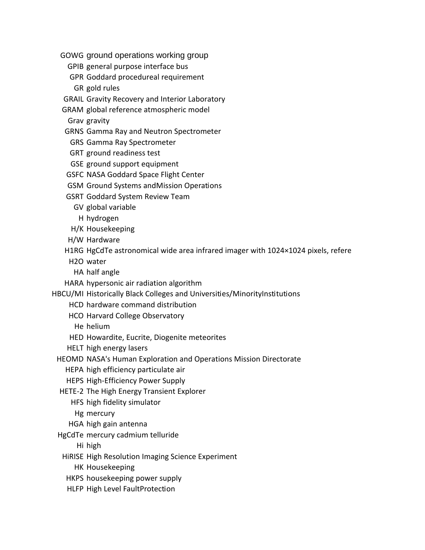GOWG ground operations working group

- GPIB general purpose interface bus
- GPR Goddard procedureal requirement
- GR gold rules
- GRAIL Gravity Recovery and Interior Laboratory
- GRAM global reference atmospheric model
	- Grav gravity
- GRNS Gamma Ray and Neutron Spectrometer
	- GRS Gamma Ray Spectrometer
- GRT ground readiness test
- GSE ground support equipment
- GSFC NASA Goddard Space Flight Center
- GSM Ground Systems and Mission Operations
- GSRT Goddard System Review Team
	- GV global variable
		- H hydrogen
- H/K Housekeeping
- H/W Hardware
- H1RG HgCdTe astronomical wide area infrared imager with  $1024\times 1024$  pixels, refere
- H2O water
- HA half angle
- HARA hypersonic air radiation algorithm
- HBCU/MI Historically Black Colleges and Universities/MinorityInstitutions
	- HCD hardware command distribution
	- HCO Harvard College Observatory
		- He helium
	- HED Howardite, Eucrite, Diogenite meteorites
	- HELT high energy lasers
	- HEOMD NASA's Human Exploration and Operations Mission Directorate
		- HEPA high efficiency particulate air
		- HEPS High-Efficiency Power Supply
	- HETE-2 The High Energy Transient Explorer
		- HFS high fidelity simulator
		- Hg mercury
		- HGA high gain antenna
	- HgCdTe mercury cadmium telluride
		- Hi high
		- HiRISE High Resolution Imaging Science Experiment
			- HK Housekeeping
		- HKPS housekeeping power supply
		- HLFP High Level FaultProtection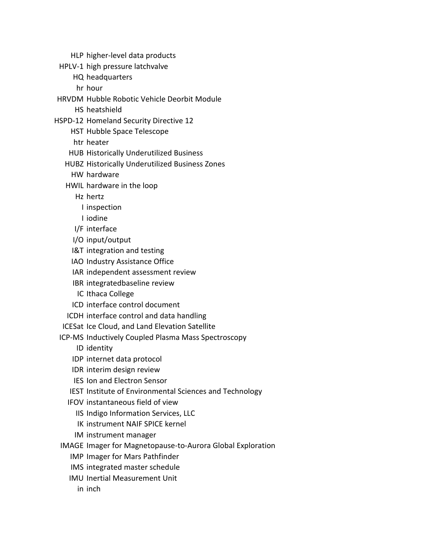- HLP higher-level data products
- HPLV-1 high pressure latchvalve
	- HQ headquarters
	- hr hour
- HRVDM Hubble Robotic Vehicle Deorbit Module
	- HS heatshield
- HSPD-12 Homeland Security Directive 12
	- HST Hubble Space Telescope
	- htr heater
	- HUB Historically Underutilized Business
	- HUBZ Historically Underutilized Business Zones
		- HW hardware
	- HWIL hardware in the loop
		- Hz hertz
			- I inspection
			- I iodine
		- I/F interface
		- I/O input/output
		- I&T integration and testing
		- IAO Industry Assistance Office
		- IAR independent assessment review
		- IBR integrated baseline review
		- IC Ithaca College
		- ICD interface control document
	- ICDH interface control and data handling
	- ICESat Ice Cloud, and Land Elevation Satellite
	- ICP-MS Inductively Coupled Plasma Mass Spectroscopy
		- ID identity
		- IDP internet data protocol
		- IDR interim design review
		- IES Ion and Electron Sensor
		- IEST Institute of Environmental Sciences and Technology
		- IFOV instantaneous field of view
			- IIS Indigo Information Services, LLC
			- IK instrument NAIF SPICE kernel
			- IM instrument manager
	- IMAGE Imager for Magnetopause-to-Aurora Global Exploration
		- IMP Imager for Mars Pathfinder
		- IMS integrated master schedule
		- IMU Inertial Measurement Unit
			- in inch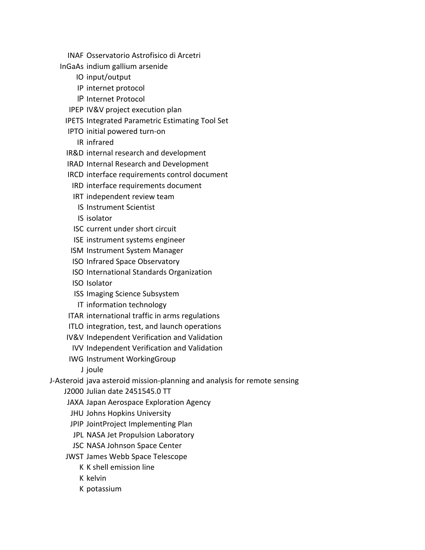- INAF Osservatorio Astrofisico di Arcetri
- InGaAs indium gallium arsenide
	- IO input/output
	- IP internet protocol
	- IP Internet Protocol
	- IPEP IV&V project execution plan
	- IPETS Integrated Parametric Estimating Tool Set
	- IPTO initial powered turn-on
		- IR infrared
	- IR&D internal research and development
	- IRAD Internal Research and Development
	- IRCD interface requirements control document
		- IRD interface requirements document
		- IRT independent review team
			- IS Instrument Scientist
		- IS isolator
		- ISC current under short circuit
		- ISE instrument systems engineer
	- ISM Instrument System Manager
	- ISO Infrared Space Observatory
	- ISO International Standards Organization
	- ISO Isolator
	- ISS Imaging Science Subsystem
	- IT information technology
	- ITAR international traffic in arms regulations
	- ITLO integration, test, and launch operations
	- IV&V Independent Verification and Validation
	- IVV Independent Verification and Validation
	- IWG Instrument Working Group
		- J joule
- J-Asteroid java asteroid mission-planning and analysis for remote sensing
	- J2000 Julian date 2451545.0 TT
	- JAXA Japan Aerospace Exploration Agency
	- JHU Johns Hopkins University
	- JPIP Joint Project Implementing Plan
	- JPL NASA Jet Propulsion Laboratory
	- JSC NASA Johnson Space Center
	- JWST James Webb Space Telescope
		- K K shell emission line
		- K kelvin
		- K potassium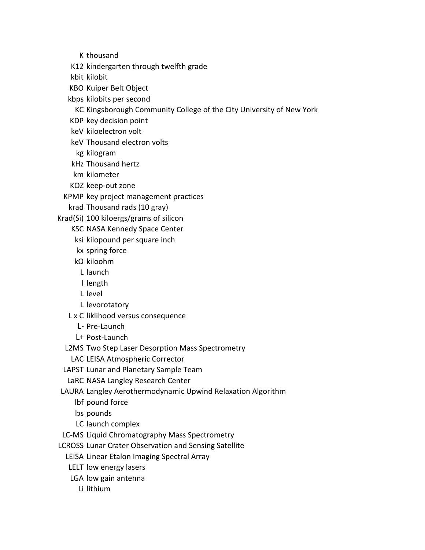K thousand

K12 kindergarten through twelfth grade

kbit kilobit

KBO Kuiper Belt Object

kbps kilobits per second

KC Kingsborough Community College of the City University of New York

KDP key decision point

keV kiloelectron volt

keV Thousand electron volts

kg kilogram

kHz Thousand hertz

km kilometer

KOZ keep-out zone

KPMP key project management practices

krad Thousand rads (10 gray)

Krad(Si) 100 kiloergs/grams of silicon

KSC NASA Kennedy Space Center

ksi kilopound per square inch

kx spring force

kΩ kiloohm

L launch

l length

L level

L levorotatory

L x C liklihood versus consequence

L- Pre-Launch

L+ Post-Launch

L2MS Two Step Laser Desorption Mass Spectrometry

LAC LEISA Atmospheric Corrector

LAPST Lunar and Planetary Sample Team

LaRC NASA Langley Research Center

LAURA Langley Aerothermodynamic Upwind Relaxation Algorithm

lbf pound force

lbs pounds

LC launch complex

LC-MS Liquid Chromatography Mass Spectrometry

LCROSS Lunar Crater Observation and Sensing Satellite

LEISA Linear Etalon Imaging Spectral Array

LELT low energy lasers

LGA low gain antenna

Li lithium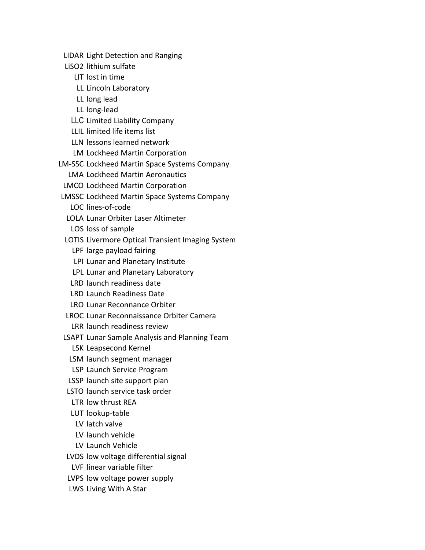LIDAR Light Detection and Ranging

LiSO2 lithium sulfate

LIT lost in time

LL Lincoln Laboratory

LL long lead

LL long-lead

LLC Limited Liability Company

LLIL limited life items list

LLN lessons learned network

LM Lockheed Martin Corporation

LM-SSC Lockheed Martin Space Systems Company

LMA Lockheed Martin Aeronautics

LMCO Lockheed Martin Corporation

LMSSC Lockheed Martin Space Systems Company

LOC lines-of-code

LOLA Lunar Orbiter Laser Altimeter

LOS loss of sample

LOTIS Livermore Optical Transient Imaging System

LPF large payload fairing

LPI Lunar and Planetary Institute

LPL Lunar and Planetary Laboratory

LRD launch readiness date

LRD Launch Readiness Date

LRO Lunar Reconnance Orbiter

LROC Lunar Reconnaissance Orbiter Camera

LRR launch readiness review

LSAPT Lunar Sample Analysis and Planning Team

LSK Leapsecond Kernel

LSM launch segment manager

LSP Launch Service Program

LSSP launch site support plan

LSTO launch service task order

LTR low thrust REA

LUT lookup-table

LV latch valve

LV launch vehicle

LV Launch Vehicle

LVDS low voltage differential signal

LVF linear variable filter

LVPS low voltage power supply

LWS Living With A Star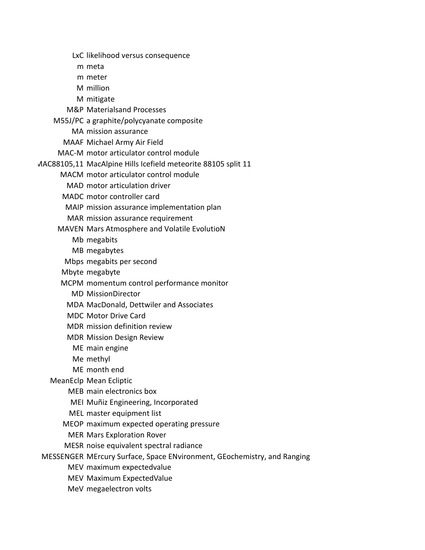LxC likelihood versus consequence

- m meta
- m meter
- M million
- M mitigate
- M&P Materials and Processes
- M55J/PC a graphite/polycyanate composite
	- MA mission assurance
	- MAAF Michael Army Air Field
- MAC-M motor articulator control module
- MAC88105,11 MacAlpine Hills Icefield meteorite 88105 split 11
	- MACM motor articulator control module
		- MAD motor articulation driver
	- MADC motor controller card
	- MAIP mission assurance implementation plan
	- MAR mission assurance requirement
	- MAVEN Mars Atmosphere and Volatile EvolutioN
		- Mb megabits
		- MB megabytes
		- Mbps megabits per second
		- Mbyte megabyte
		- MCPM momentum control performance monitor
			- MD Mission Director
			- MDA MacDonald, Dettwiler and Associates
			- MDC Motor Drive Card
			- MDR mission definition review
			- MDR Mission Design Review
				- ME main engine
				- Me methyl
				- ME month end
	- MeanEclp Mean Ecliptic
		- MEB main electronics box
		- MEI Muñiz Engineering, Incorporated
		- MEL master equipment list
		- MEOP maximum expected operating pressure
			- MER Mars Exploration Rover
	- MESR noise equivalent spectral radiance
- MESSENGER MErcury Surface, Space ENvironment, GEochemistry, and Ranging
	- MEV maximum expected value
	- MEV Maximum Expected Value
	- MeV megaelectron volts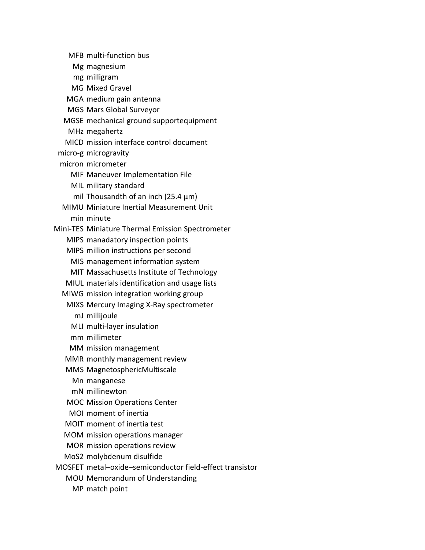MFB multi-function bus Mg magnesium mg milligram MG Mixed Gravel MGA medium gain antenna MGS Mars Global Surveyor MGSE mechanical ground supportequipment MHz megahertz MICD mission interface control document micro-g microgravity micron micrometer MIF Maneuver Implementation File MIL military standard mil Thousandth of an inch (25.4  $\mu$ m) MIMU Miniature Inertial Measurement Unit min minute Mini-TES Miniature Thermal Emission Spectrometer MIPS manadatory inspection points MIPS million instructions per second MIS management information system MIT Massachusetts Institute of Technology MIUL materials identification and usage lists MIWG mission integration working group MIXS Mercury Imaging X-Ray spectrometer mJ millijoule MLI multi-layer insulation mm millimeter MM mission management MMR monthly management review MMS Magnetospheric Multiscale Mn manganese mN millinewton MOC Mission Operations Center MOI moment of inertia MOIT moment of inertia test MOM mission operations manager MOR mission operations review MoS2 molybdenum disulfide MOSFET metal–oxide–semiconductor field-effect transistor MOU Memorandum of Understanding MP match point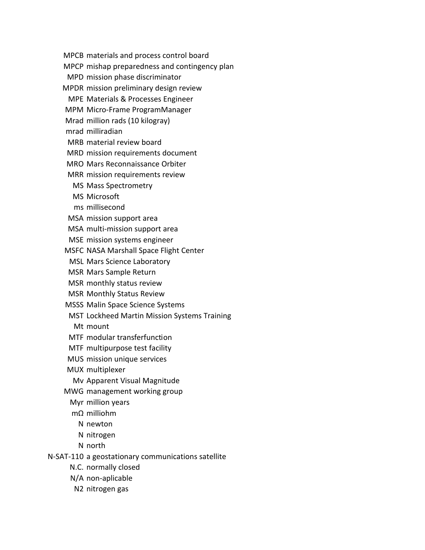MPCB materials and process control board

MPCP mishap preparedness and contingency plan

MPD mission phase discriminator

MPDR mission preliminary design review

MPE Materials & Processes Engineer

MPM Micro-Frame Program Manager

Mrad million rads (10 kilogray)

mrad milliradian

MRB material review board

MRD mission requirements document

MRO Mars Reconnaissance Orbiter

MRR mission requirements review

MS Mass Spectrometry

MS Microsoft

ms millisecond

MSA mission support area

MSA multi-mission support area

MSE mission systems engineer

MSFC NASA Marshall Space Flight Center

MSL Mars Science Laboratory

MSR Mars Sample Return

MSR monthly status review

MSR Monthly Status Review

MSSS Malin Space Science Systems

MST Lockheed Martin Mission Systems Training

Mt mount

MTF modular transferfunction

MTF multipurpose test facility

MUS mission unique services

MUX multiplexer

Mv Apparent Visual Magnitude

MWG management working group

Myr million years

mΩ milliohm

N newton

N nitrogen

N north

N-SAT-110 a geostationary communications satellite

N.C. normally closed

N/A non-aplicable

N2 nitrogen gas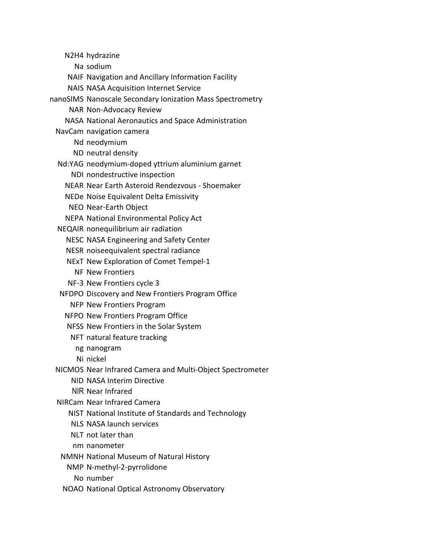N2H4 hydrazine

Na sodium

- NAIF Navigation and Ancillary Information Facility
- NAIS NASA Acquisition Internet Service
- nanoSIMS Nanoscale Secondary Ionization Mass Spectrometry
	- NAR Non-Advocacy Review
	- NASA National Aeronautics and Space Administration
	- NavCam navigation camera
		- Nd neodymium
		- ND neutral density
	- Nd:YAG neodymium-doped yttrium aluminium garnet
		- NDI nondestructive inspection
		- NEAR Near Earth Asteroid Rendezvous Shoemaker
		- NEDe Noise Equivalent Delta Emissivity
		- NEO Near-Earth Object
		- NEPA National Environmental Policy Act
	- NEQAIR nonequilibrium air radiation
		- NESC NASA Engineering and Safety Center
		- NESR noise equivalent spectral radiance
		- NExT New Exploration of Comet Tempel-1
			- NF New Frontiers
		- NF-3 New Frontiers cycle 3
	- NFDPO Discovery and New Frontiers Program Office
		- NFP New Frontiers Program
		- NFPO New Frontiers Program Office
		- NFSS New Frontiers in the Solar System
		- NFT natural feature tracking
		- ng nanogram
		- Ni nickel
	- NICMOS Near Infrared Camera and Multi-Object Spectrometer
		- NID NASA Interim Directive
		- NIR Near Infrared
	- NIRCam Near Infrared Camera
		- NIST National Institute of Standards and Technology
		- NLS NASA launch services
		- NLT not later than
		- nm nanometer
	- NMNH National Museum of Natural History
		- NMP N-methyl-2-pyrrolidone
			- No number
	- NOAO National Optical Astronomy Observatory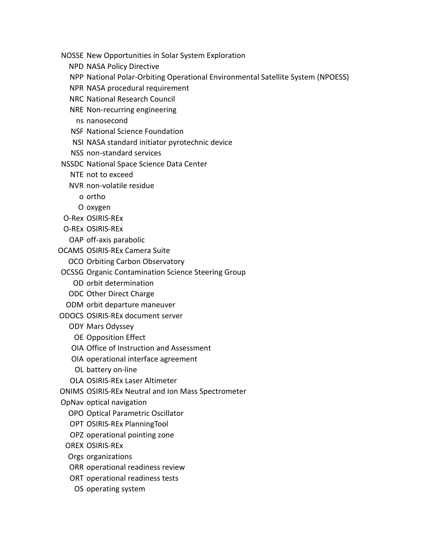NOSSE New Opportunities in Solar System Exploration

- NPD NASA Policy Directive
- NPP National Polar-Orbiting Operational Environmental Satellite System (NPOESS)
- NPR NASA procedural requirement
- NRC National Research Council
- NRE Non-recurring engineering
	- ns nanosecond
- NSF National Science Foundation
- NSI NASA standard initiator pyrotechnic device
- NSS non-standard services
- NSSDC National Space Science Data Center
	- NTE not to exceed
	- NVR non-volatile residue
		- o ortho
		- O oxygen
- O-Rex OSIRIS-REx
- O-REx OSIRIS-REx
	- OAP off-axis parabolic
- OCAMS OSIRIS-REx Camera Suite
	- OCO Orbiting Carbon Observatory
- OCSSG Organic Contamination Science Steering Group
	- OD orbit determination
	- ODC Other Direct Charge
- ODM orbit departure maneuver
- ODOCS OSIRIS-REx document server
	- ODY Mars Odyssey
		- OE Opposition Effect
	- OIA Office of Instruction and Assessment
	- OIA operational interface agreement
	- OL battery on-line
	- OLA OSIRIS-REx Laser Altimeter
- ONIMS OSIRIS-REx Neutral and Ion Mass Spectrometer
- OpNav optical navigation
	- OPO Optical Parametric Oscillator
	- OPT OSIRIS-REx Planning Tool
	- OPZ operational pointing zone
	- OREX OSIRIS-REx
	- Orgs organizations
	- ORR operational readiness review
	- ORT operational readiness tests
	- OS operating system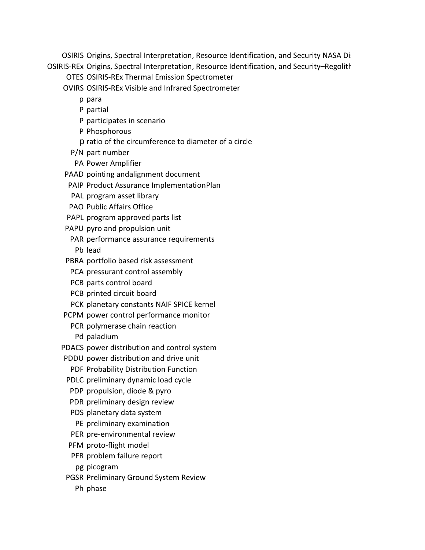OSIRIS Origins, Spectral Interpretation, Resource Identification, and Security NASA Discovery OSIRIS-REx Origins, Spectral Interpretation, Resource Identification, and Security–Regolith

OTES OSIRIS-REx Thermal Emission Spectrometer

OVIRS OSIRIS-REx Visible and Infrared Spectrometer

- p para
- P partial
- P participates in scenario
- P Phosphorous
- p ratio of the circumference to diameter of a circle
- P/N part number
- PA Power Amplifier
- PAAD pointing and alignment document
- PAIP Product Assurance Implementation Plan
- PAL program asset library
- PAO Public Affairs Office
- PAPL program approved parts list
- PAPU pyro and propulsion unit
- PAR performance assurance requirements Pb lead
- PBRA portfolio based risk assessment
- PCA pressurant control assembly
- PCB parts control board
- PCB printed circuit board
- PCK planetary constants NAIF SPICE kernel
- PCPM power control performance monitor
	- PCR polymerase chain reaction
		- Pd paladium
- PDACS power distribution and control system
- PDDU power distribution and drive unit
	- PDF Probability Distribution Function
- PDLC preliminary dynamic load cycle
- PDP propulsion, diode & pyro
- PDR preliminary design review
- PDS planetary data system
- PE preliminary examination
- PER pre-environmental review
- PFM proto-flight model
- PFR problem failure report
- pg picogram
- PGSR Preliminary Ground System Review
	- Ph phase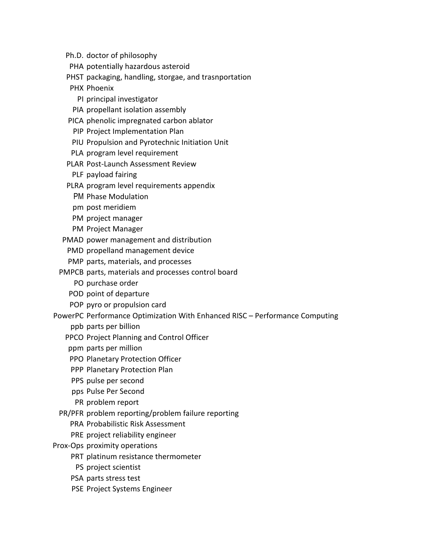- Ph.D. doctor of philosophy
- PHA potentially hazardous asteroid
- PHST packaging, handling, storgae, and trasnportation
- PHX Phoenix
	- PI principal investigator
- PIA propellant isolation assembly
- PICA phenolic impregnated carbon ablator
	- PIP Project Implementation Plan
- PIU Propulsion and Pyrotechnic Initiation Unit
- PLA program level requirement
- PLAR Post-Launch Assessment Review
	- PLF payload fairing
- PLRA program level requirements appendix
	- PM Phase Modulation
	- pm post meridiem
	- PM project manager
	- PM Project Manager
- PMAD power management and distribution
	- PMD propelland management device
	- PMP parts, materials, and processes
- PMPCB parts, materials and processes control board
	- PO purchase order
	- POD point of departure
	- POP pyro or propulsion card
- PowerPC Performance Optimization With Enhanced RISC Performance Computing
	- ppb parts per billion
	- PPCO Project Planning and Control Officer
	- ppm parts per million
	- PPO Planetary Protection Officer
	- PPP Planetary Protection Plan
	- PPS pulse per second
	- pps Pulse Per Second
	- PR problem report
	- PR/PFR problem reporting/problem failure reporting
		- PRA Probabilistic Risk Assessment
		- PRE project reliability engineer
- Prox-Ops proximity operations
	- PRT platinum resistance thermometer
	- PS project scientist
	- PSA parts stress test
	- PSE Project Systems Engineer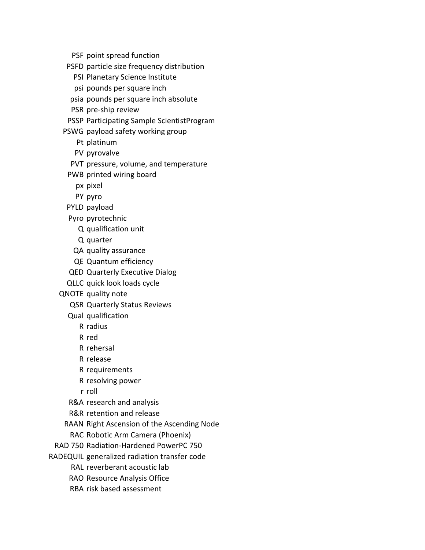PSF point spread function

PSFD particle size frequency distribution

PSI Planetary Science Institute

psi pounds per square inch

psia pounds per square inch absolute

PSR pre-ship review

PSSP Participating Sample Scientist Program

PSWG payload safety working group

Pt platinum

PV pyrovalve

PVT pressure, volume, and temperature

PWB printed wiring board

px pixel

PY pyro

PYLD payload

Pyro pyrotechnic

Q qualification unit

Q quarter

QA quality assurance

QE Quantum efficiency

QED Quarterly Executive Dialog

QLLC quick look loads cycle

QNOTE quality note

QSR Quarterly Status Reviews

Qual qualification

R radius

R red

R rehersal

R release

R requirements

R resolving power

r roll

R&A research and analysis

R&R retention and release

RAAN Right Ascension of the Ascending Node

RAC Robotic Arm Camera (Phoenix)

RAD 750 Radiation-Hardened PowerPC 750

RADEQUIL generalized radiation transfer code

RAL reverberant acoustic lab

RAO Resource Analysis Office

RBA risk based assessment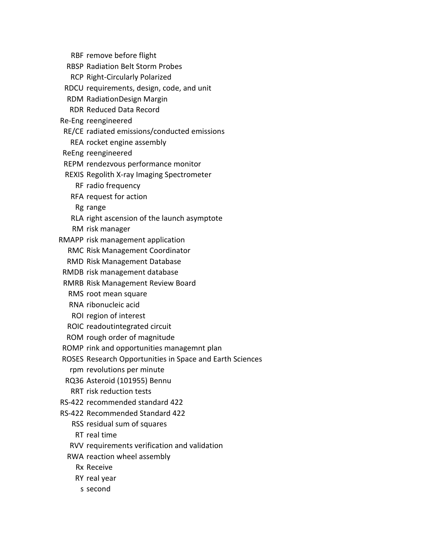RBF remove before flight

- RBSP Radiation Belt Storm Probes
- RCP Right-Circularly Polarized
- RDCU requirements, design, code, and unit
- RDM Radiation Design Margin
- RDR Reduced Data Record
- Re-Eng reengineered
- RE/CE radiated emissions/conducted emissions
	- REA rocket engine assembly
- ReEng reengineered
- REPM rendezvous performance monitor
- REXIS Regolith X-ray Imaging Spectrometer
	- RF radio frequency
	- RFA request for action
		- Rg range
	- RLA right ascension of the launch asymptote
	- RM risk manager
- RMAPP risk management application
	- RMC Risk Management Coordinator
	- RMD Risk Management Database
- RMDB risk management database
- RMRB Risk Management Review Board
	- RMS root mean square
	- RNA ribonucleic acid
	- ROI region of interest
- ROIC readoutintegrated circuit
- ROM rough order of magnitude
- ROMP rink and opportunities managemnt plan
- ROSES Research Opportunities in Space and Earth Sciences
	- rpm revolutions per minute
- RQ36 Asteroid (101955) Bennu
- RRT risk reduction tests
- RS-422 recommended standard 422
- RS-422 Recommended Standard 422
	- RSS residual sum of squares
	- RT real time
	- RVV requirements verification and validation
	- RWA reaction wheel assembly
		- Rx Receive
		- RY real year
		- s second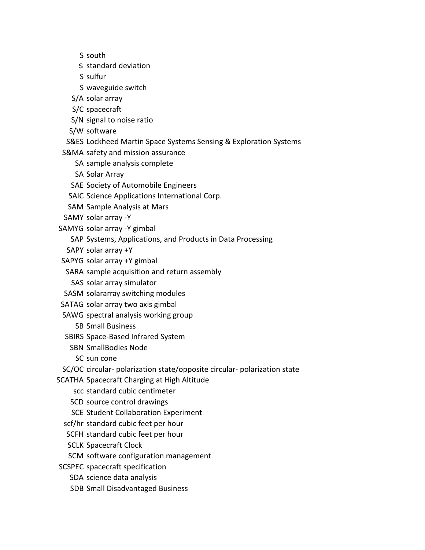- S south
- s standard deviation
- S sulfur
- S waveguide switch
- S/A solar array
- S/C spacecraft
- S/N signal to noise ratio
- S/W software
- S&ES Lockheed Martin Space Systems Sensing & Exploration Systems
- S&MA safety and mission assurance
	- SA sample analysis complete
	- SA Solar Array
	- SAE Society of Automobile Engineers
	- SAIC Science Applications International Corp.
	- SAM Sample Analysis at Mars
- SAMY solar array -Y
- SAMYG solar array -Y gimbal
	- SAP Systems, Applications, and Products in Data Processing
	- SAPY solar array +Y
- SAPYG solar array +Y gimbal
- SARA sample acquisition and return assembly
	- SAS solar array simulator
- SASM solararray switching modules
- SATAG solar array two axis gimbal
- SAWG spectral analysis working group
	- SB Small Business
- SBIRS Space-Based Infrared System
	- SBN SmallBodies Node
		- SC sun cone
- SC/OC circular- polarization state/opposite circular- polarization state
- SCATHA Spacecraft Charging at High Altitude
	- scc standard cubic centimeter
	- SCD source control drawings
	- SCE Student Collaboration Experiment
	- scf/hr standard cubic feet per hour
	- SCFH standard cubic feet per hour
	- SCLK Spacecraft Clock
	- SCM software configuration management
- SCSPEC spacecraft specification
	- SDA science data analysis
	- SDB Small Disadvantaged Business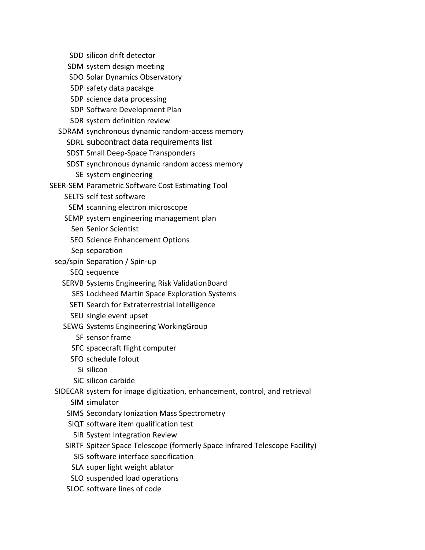SDD silicon drift detector

- SDM system design meeting
- SDO Solar Dynamics Observatory
- SDP safety data pacakge
- SDP science data processing
- SDP Software Development Plan
- SDR system definition review
- SDRAM synchronous dynamic random-access memory
	- SDRL subcontract data requirements list
	- SDST Small Deep-Space Transponders
	- SDST synchronous dynamic random access memory SE system engineering
- SEER-SEM Parametric Software Cost Estimating Tool
	- SELTS self test software
	- SEM scanning electron microscope
	- SEMP system engineering management plan
		- Sen Senior Scientist
		- SEO Science Enhancement Options
	- Sep separation
	- sep/spin Separation / Spin-up
		- SEQ sequence
		- SERVB Systems Engineering Risk Validation Board
			- SES Lockheed Martin Space Exploration Systems
			- SETI Search for Extraterrestrial Intelligence
			- SEU single event upset
		- SEWG Systems Engineering Working Group
			- SF sensor frame
			- SFC spacecraft flight computer
			- SFO schedule folout
				- Si silicon
			- SiC silicon carbide
	- SIDECAR system for image digitization, enhancement, control, and retrieval
		- SIM simulator
		- SIMS Secondary Ionization Mass Spectrometry
		- SIQT software item qualification test
		- SIR System Integration Review
		- SIRTF Spitzer Space Telescope (formerly Space Infrared Telescope Facility)
			- SIS software interface specification
			- SLA super light weight ablator
			- SLO suspended load operations
		- SLOC software lines of code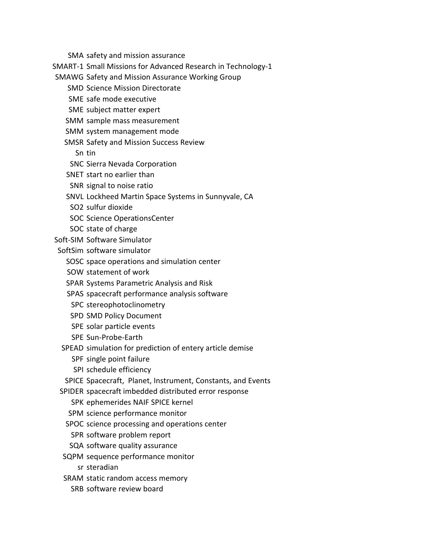- SMA safety and mission assurance
- SMART-1 Small Missions for Advanced Research in Technology-1
- SMAWG Safety and Mission Assurance Working Group
	- SMD Science Mission Directorate
	- SME safe mode executive
	- SME subject matter expert
	- SMM sample mass measurement
	- SMM system management mode
	- SMSR Safety and Mission Success Review
		- Sn tin
		- SNC Sierra Nevada Corporation
	- SNET start no earlier than
	- SNR signal to noise ratio
	- SNVL Lockheed Martin Space Systems in Sunnyvale, CA
	- SO2 sulfur dioxide
	- SOC Science Operations Center
	- SOC state of charge
- Soft-SIM Software Simulator
- SoftSim software simulator
	- SOSC space operations and simulation center
	- SOW statement of work
	- SPAR Systems Parametric Analysis and Risk
	- SPAS spacecraft performance analysis software
	- SPC stereophotoclinometry
	- SPD SMD Policy Document
	- SPE solar particle events
	- SPE Sun-Probe-Earth
	- SPEAD simulation for prediction of entery article demise
		- SPF single point failure
		- SPI schedule efficiency
	- SPICE Spacecraft, Planet, Instrument, Constants, and Events
- SPIDER spacecraft imbedded distributed error response
	- SPK ephemerides NAIF SPICE kernel
	- SPM science performance monitor
	- SPOC science processing and operations center
		- SPR software problem report
	- SQA software quality assurance
- SQPM sequence performance monitor
	- sr steradian
- SRAM static random access memory
	- SRB software review board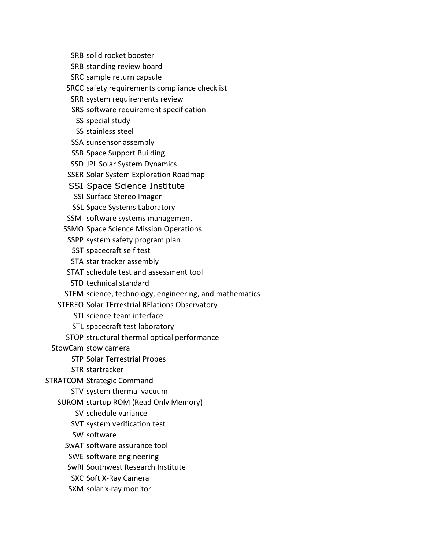- SRB solid rocket booster
- SRB standing review board
- SRC sample return capsule
- SRCC safety requirements compliance checklist
- SRR system requirements review
- SRS software requirement specification
	- SS special study
	- SS stainless steel
- SSA sunsensor assembly
- SSB Space Support Building
- SSD JPL Solar System Dynamics
- SSER Solar System Exploration Roadmap
- SSI Space Science Institute
	- SSI Surface Stereo Imager
- SSL Space Systems Laboratory
- SSM software systems management
- SSMO Space Science Mission Operations
- SSPP system safety program plan
- SST spacecraft self test
- STA star tracker assembly
- STAT schedule test and assessment tool
- STD technical standard
- STEM science, technology, engineering, and mathematics
- STEREO Solar TErrestrial RElations Observatory
	- STI science team interface
	- STL spacecraft test laboratory
	- STOP structural thermal optical performance
- StowCam stow camera
	- STP Solar Terrestrial Probes
	- STR startracker
- STRATCOM Strategic Command
	- STV system thermal vacuum
	- SUROM startup ROM (Read Only Memory)
		- SV schedule variance
		- SVT system verification test
		- SW software
		- SwAT software assurance tool
		- SWE software engineering
		- SwRI Southwest Research Institute
		- SXC Soft X-Ray Camera
		- SXM solar x-ray monitor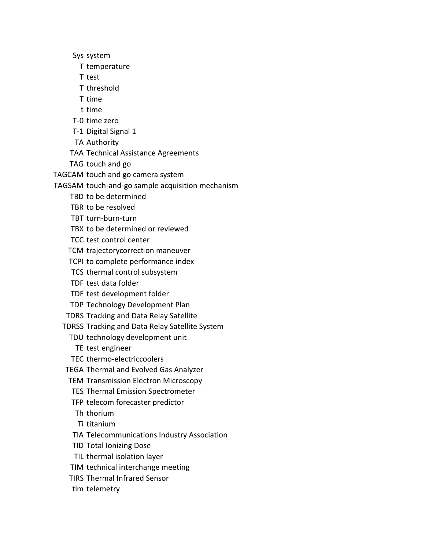Sys system

- T temperature
- T test
- T threshold
- T time
- t time
- T-0 time zero
- T-1 Digital Signal 1
- TA Authority
- TAA Technical Assistance Agreements
- TAG touch and go
- TAGCAM touch and go camera system
- TAGSAM touch-and-go sample acquisition mechanism
	- TBD to be determined
	- TBR to be resolved
	- TBT turn-burn-turn
	- TBX to be determined or reviewed
	- TCC test control center
	- TCM trajectory correction maneuver
	- TCPI to complete performance index
	- TCS thermal control subsystem
	- TDF test data folder
	- TDF test development folder
	- TDP Technology Development Plan
	- TDRS Tracking and Data Relay Satellite
	- TDRSS Tracking and Data Relay Satellite System
		- TDU technology development unit
			- TE test engineer
		- TEC thermo-electriccoolers
	- TEGA Thermal and Evolved Gas Analyzer
	- TEM Transmission Electron Microscopy
	- TES Thermal Emission Spectrometer
	- TFP telecom forecaster predictor
	- Th thorium
	- Ti titanium
	- TIA Telecommunications Industry Association
	- TID Total Ionizing Dose
	- TIL thermal isolation layer
	- TIM technical interchange meeting
	- TIRS Thermal Infrared Sensor
	- tlm telemetry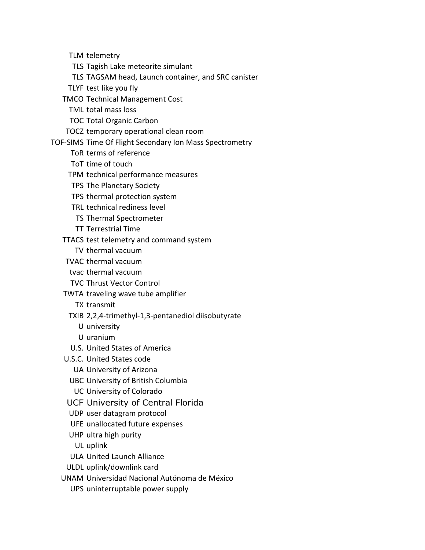TLM telemetry

- TLS Tagish Lake meteorite simulant
- TLS TAGSAM head, Launch container, and SRC canister
- TLYF test like you fly
- TMCO Technical Management Cost
	- TML total mass loss
	- TOC Total Organic Carbon
- TOCZ temporary operational clean room
- TOF-SIMS Time Of Flight Secondary Ion Mass Spectrometry
	- ToR terms of reference
	- ToT time of touch
	- TPM technical performance measures
	- TPS The Planetary Society
	- TPS thermal protection system
	- TRL technical rediness level
	- TS Thermal Spectrometer
	- TT Terrestrial Time
	- TTACS test telemetry and command system
		- TV thermal vacuum
	- TVAC thermal vacuum
	- tvac thermal vacuum
	- TVC Thrust Vector Control
	- TWTA traveling wave tube amplifier
		- TX transmit
		- TXIB 2,2,4-trimethyl-1,3-pentanediol diisobutyrate
			- U university
			- U uranium
		- U.S. United States of America
	- U.S.C. United States code
		- UA University of Arizona
		- UBC University of British Columbia
		- UC University of Colorado
	- UCF University of Central Florida
	- UDP user datagram protocol
	- UFE unallocated future expenses
	- UHP ultra high purity
	- UL uplink
	- ULA United Launch Alliance
	- ULDL uplink/downlink card
	- UNAM Universidad Nacional Autónoma de México
		- UPS uninterruptable power supply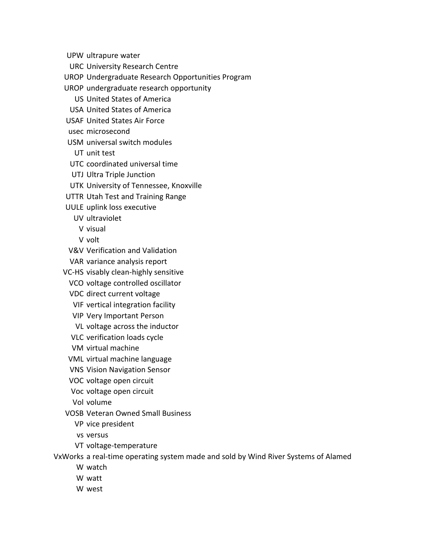UPW ultrapure water

- URC University Research Centre
- UROP Undergraduate Research Opportunities Program
- UROP undergraduate research opportunity
	- US United States of America
	- USA United States of America
- USAF United States Air Force
- usec microsecond
- USM universal switch modules
	- UT unit test
- UTC coordinated universal time
- UTJ Ultra Triple Junction
- UTK University of Tennessee, Knoxville
- UTTR Utah Test and Training Range
- UULE uplink loss executive
	- UV ultraviolet
	- V visual
	- V volt
- V&V Verification and Validation
- VAR variance analysis report
- VC-HS visably clean-highly sensitive
	- VCO voltage controlled oscillator
	- VDC direct current voltage
	- VIF vertical integration facility
	- VIP Very Important Person
	- VL voltage across the inductor
	- VLC verification loads cycle
	- VM virtual machine
	- VML virtual machine language
	- VNS Vision Navigation Sensor
	- VOC voltage open circuit
	- Voc voltage open circuit
	- Vol volume
- VOSB Veteran Owned Small Business
	- VP vice president
	- vs versus
	- VT voltage-temperature

VxWorks a real-time operating system made and sold by Wind River Systems of Alamed

- W watch
- W watt
- W west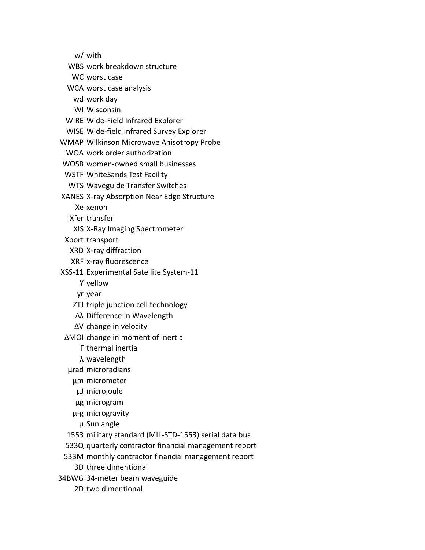w/ with

WBS work breakdown structure

WC worst case

WCA worst case analysis

wd work day

WI Wisconsin

WIRE Wide-Field Infrared Explorer

WISE Wide-field Infrared Survey Explorer

WMAP Wilkinson Microwave Anisotropy Probe

WOA work order authorization

WOSB women-owned small businesses

WSTF White Sands Test Facility

WTS Waveguide Transfer Switches

XANES X-ray Absorption Near Edge Structure

Xe xenon

Xfer transfer

XIS X-Ray Imaging Spectrometer

Xport transport

XRD X-ray diffraction

XRF x-ray fluorescence

XSS-11 Experimental Satellite System-11

Y yellow

yr year

ZTJ triple junction cell technology

- ∆λ Difference in Wavelength
- ∆V change in velocity

∆MOI change in moment of inertia

Γ thermal inertia

λ wavelength

µrad microradians

µm micrometer

µJ microjoule

µg microgram

µ-g microgravity

µ Sun angle

1553 military standard (MIL-STD-1553) serial data bus

533Q quarterly contractor financial management report

533M monthly contractor financial management report

3D three dimentional

34BWG 34-meter beam waveguide

2D two dimentional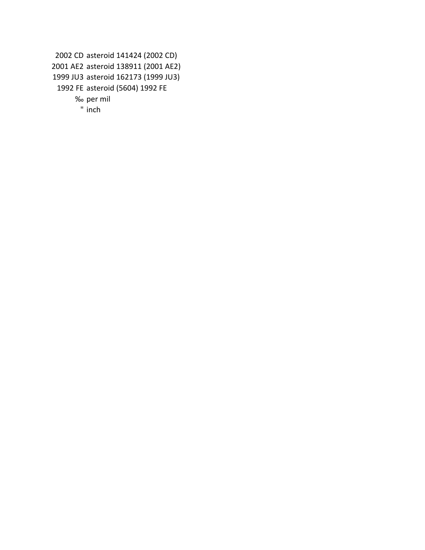```
2002 CD asteroid 141424 (2002 CD)
2001 AE2 asteroid 138911 (2001 AE2)
1999 JU3 asteroid 162173 (1999 JU3)
 1992 FE asteroid (5604) 1992 FE
      ‰ per mil
       " inch
```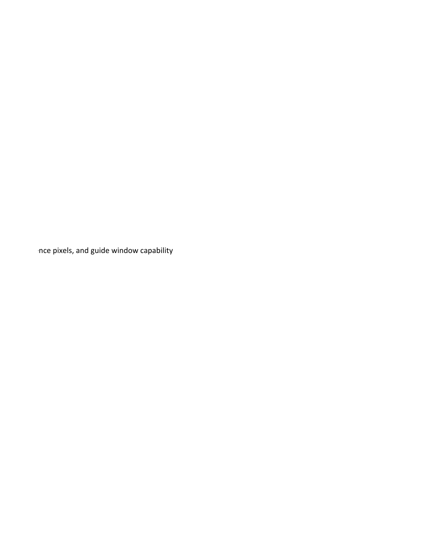$\eta$ ce pixels, and guide window capability